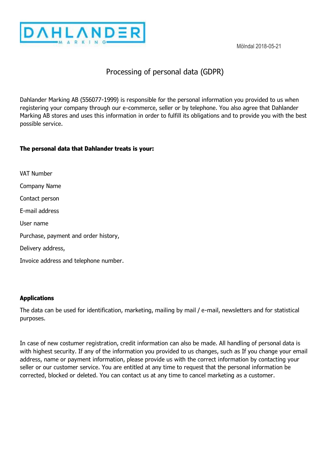

Mölndal 2018-05-21

# Processing of personal data (GDPR)

Dahlander Marking AB (556077-1999) is responsible for the personal information you provided to us when registering your company through our e-commerce, seller or by telephone. You also agree that Dahlander Marking AB stores and uses this information in order to fulfill its obligations and to provide you with the best possible service.

## **The personal data that Dahlander treats is your:**

VAT Number Company Name Contact person E-mail address User name Purchase, payment and order history, Delivery address, Invoice address and telephone number.

#### **Applications**

The data can be used for identification, marketing, mailing by mail / e-mail, newsletters and for statistical purposes.

In case of new costumer registration, credit information can also be made. All handling of personal data is with highest security. If any of the information you provided to us changes, such as If you change your email address, name or payment information, please provide us with the correct information by contacting your seller or our customer service. You are entitled at any time to request that the personal information be corrected, blocked or deleted. You can contact us at any time to cancel marketing as a customer.